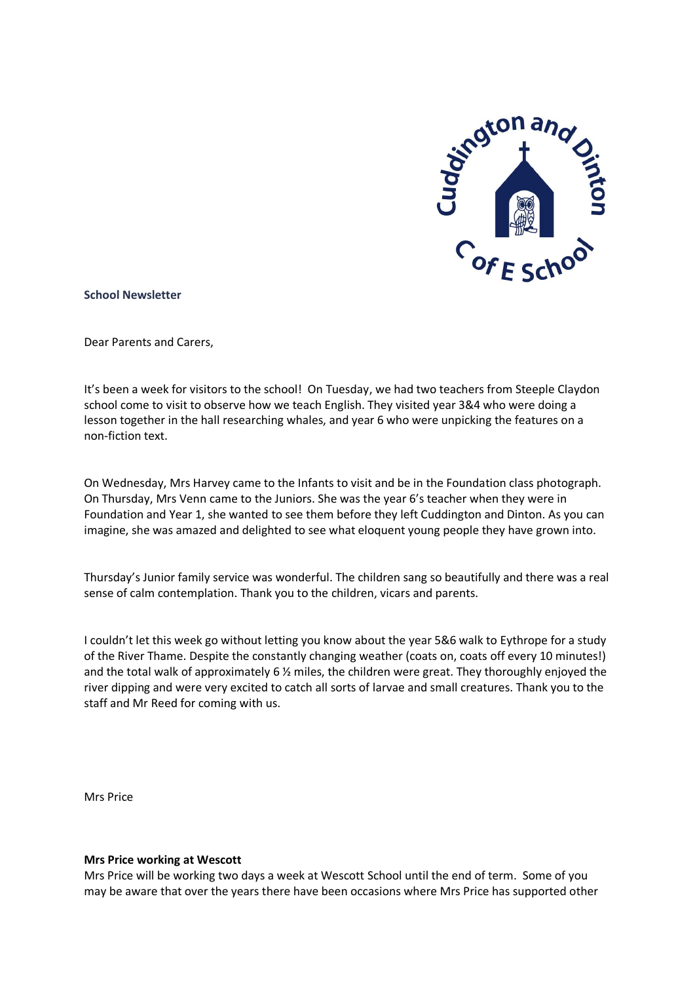

#### **School Newsletter**

Dear Parents and Carers,

It's been a week for visitors to the school! On Tuesday, we had two teachers from Steeple Claydon school come to visit to observe how we teach English. They visited year 3&4 who were doing a lesson together in the hall researching whales, and year 6 who were unpicking the features on a non-fiction text.

On Wednesday, Mrs Harvey came to the Infants to visit and be in the Foundation class photograph. On Thursday, Mrs Venn came to the Juniors. She was the year 6's teacher when they were in Foundation and Year 1, she wanted to see them before they left Cuddington and Dinton. As you can imagine, she was amazed and delighted to see what eloquent young people they have grown into.

Thursday's Junior family service was wonderful. The children sang so beautifully and there was a real sense of calm contemplation. Thank you to the children, vicars and parents.

I couldn't let this week go without letting you know about the year 5&6 walk to Eythrope for a study of the River Thame. Despite the constantly changing weather (coats on, coats off every 10 minutes!) and the total walk of approximately 6  $\frac{1}{2}$  miles, the children were great. They thoroughly enjoyed the river dipping and were very excited to catch all sorts of larvae and small creatures. Thank you to the staff and Mr Reed for coming with us.

Mrs Price

#### **Mrs Price working at Wescott**

Mrs Price will be working two days a week at Wescott School until the end of term. Some of you may be aware that over the years there have been occasions where Mrs Price has supported other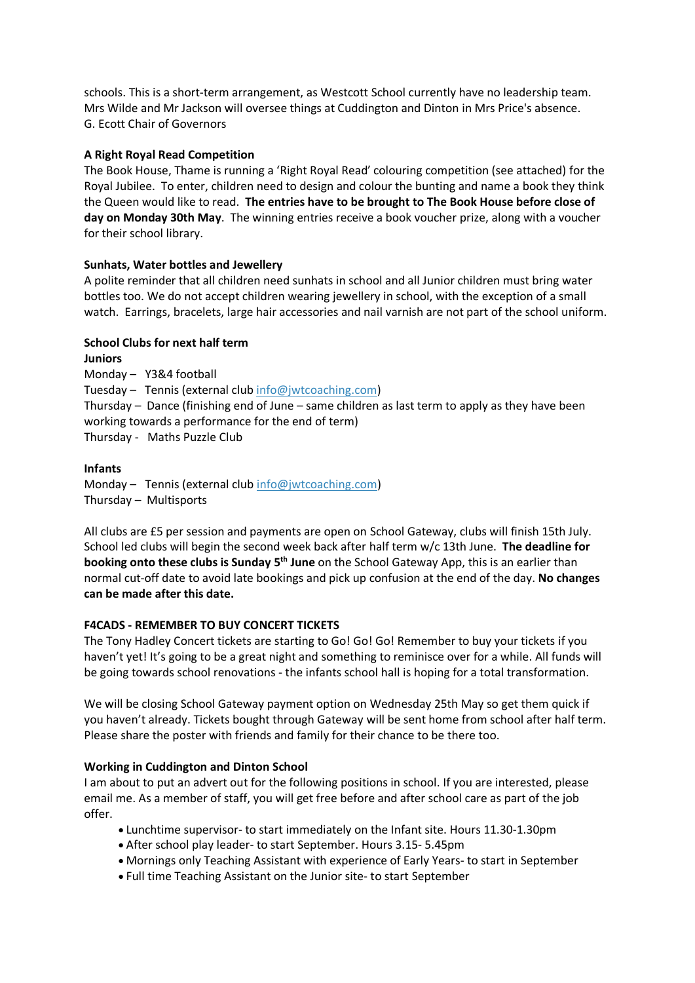schools. This is a short-term arrangement, as Westcott School currently have no leadership team. Mrs Wilde and Mr Jackson will oversee things at Cuddington and Dinton in Mrs Price's absence. G. Ecott Chair of Governors

# **A Right Royal Read Competition**

The Book House, Thame is running a 'Right Royal Read' colouring competition (see attached) for the Royal Jubilee. To enter, children need to design and colour the bunting and name a book they think the Queen would like to read. **The entries have to be brought to The Book House before close of day on Monday 30th May**. The winning entries receive a book voucher prize, along with a voucher for their school library.

## **Sunhats, Water bottles and Jewellery**

A polite reminder that all children need sunhats in school and all Junior children must bring water bottles too. We do not accept children wearing jewellery in school, with the exception of a small watch. Earrings, bracelets, large hair accessories and nail varnish are not part of the school uniform.

## **School Clubs for next half term**

**Juniors** Monday – Y3&4 football Tuesday – Tennis (external club [info@jwtcoaching.com\)](mailto:info@jwtcoaching.com) Thursday – Dance (finishing end of June – same children as last term to apply as they have been working towards a performance for the end of term) Thursday - Maths Puzzle Club

## **Infants**

Monday – Tennis (external club [info@jwtcoaching.com\)](mailto:info@jwtcoaching.com) Thursday – Multisports

All clubs are £5 per session and payments are open on School Gateway, clubs will finish 15th July. School led clubs will begin the second week back after half term w/c 13th June. **The deadline for booking onto these clubs is Sunday 5 th June** on the School Gateway App, this is an earlier than normal cut-off date to avoid late bookings and pick up confusion at the end of the day. **No changes can be made after this date.**

### **F4CADS - REMEMBER TO BUY CONCERT TICKETS**

The Tony Hadley Concert tickets are starting to Go! Go! Go! Remember to buy your tickets if you haven't yet! It's going to be a great night and something to reminisce over for a while. All funds will be going towards school renovations - the infants school hall is hoping for a total transformation.

We will be closing School Gateway payment option on Wednesday 25th May so get them quick if you haven't already. Tickets bought through Gateway will be sent home from school after half term. Please share the poster with friends and family for their chance to be there too.

### **Working in Cuddington and Dinton School**

I am about to put an advert out for the following positions in school. If you are interested, please email me. As a member of staff, you will get free before and after school care as part of the job offer.

- Lunchtime supervisor- to start immediately on the Infant site. Hours 11.30-1.30pm
- After school play leader- to start September. Hours 3.15- 5.45pm
- Mornings only Teaching Assistant with experience of Early Years- to start in September
- Full time Teaching Assistant on the Junior site- to start September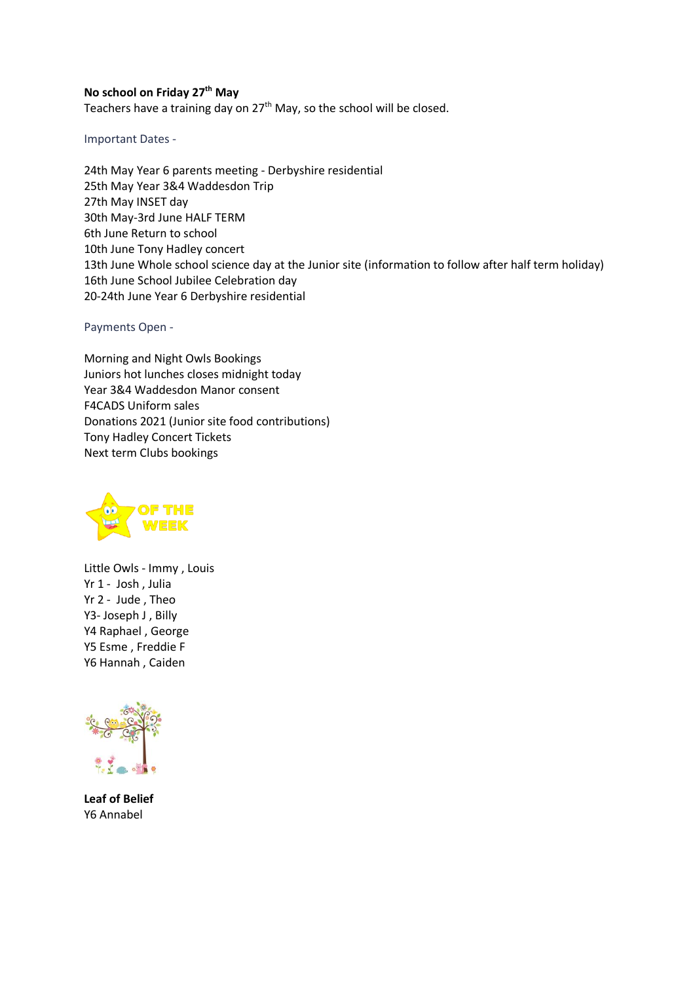#### **No school on Friday 27th May**

Teachers have a training day on  $27<sup>th</sup>$  May, so the school will be closed.

Important Dates -

24th May Year 6 parents meeting - Derbyshire residential 25th May Year 3&4 Waddesdon Trip 27th May INSET day 30th May-3rd June HALF TERM 6th June Return to school 10th June Tony Hadley concert 13th June Whole school science day at the Junior site (information to follow after half term holiday) 16th June School Jubilee Celebration day 20-24th June Year 6 Derbyshire residential

Payments Open -

Morning and Night Owls Bookings Juniors hot lunches closes midnight today Year 3&4 Waddesdon Manor consent F4CADS Uniform sales Donations 2021 (Junior site food contributions) Tony Hadley Concert Tickets Next term Clubs bookings



Little Owls - Immy , Louis Yr 1 - Josh , Julia Yr 2 - Jude , Theo Y3- Joseph J , Billy Y4 Raphael , George Y5 Esme , Freddie F Y6 Hannah , Caiden



**Leaf of Belief** Y6 Annabel